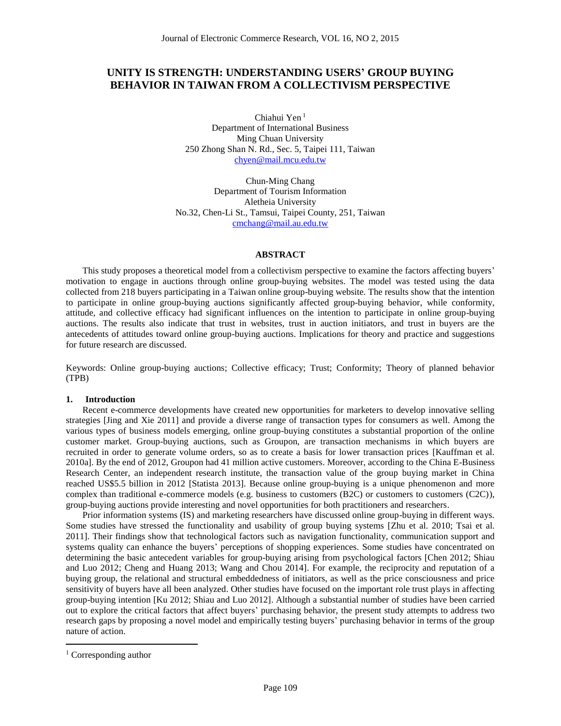# **UNITY IS STRENGTH: UNDERSTANDING USERS' GROUP BUYING BEHAVIOR IN TAIWAN FROM A COLLECTIVISM PERSPECTIVE**

Chiahui Yen <sup>1</sup> Department of International Business Ming Chuan University 250 Zhong Shan N. Rd., Sec. 5, Taipei 111, Taiwan [chyen@mail.mcu.edu.tw](mailto:chyen@mail.mcu.edu.tw)

Chun-Ming Chang Department of Tourism Information Aletheia University No.32, Chen-Li St., Tamsui, Taipei County, 251, Taiwan [cmchang@mail.au.edu.tw](mailto:cmchang@mail.au.edu.tw)

## **ABSTRACT**

This study proposes a theoretical model from a collectivism perspective to examine the factors affecting buyers' motivation to engage in auctions through online group-buying websites. The model was tested using the data collected from 218 buyers participating in a Taiwan online group-buying website. The results show that the intention to participate in online group-buying auctions significantly affected group-buying behavior, while conformity, attitude, and collective efficacy had significant influences on the intention to participate in online group-buying auctions. The results also indicate that trust in websites, trust in auction initiators, and trust in buyers are the antecedents of attitudes toward online group-buying auctions. Implications for theory and practice and suggestions for future research are discussed.

Keywords: Online group-buying auctions; Collective efficacy; Trust; Conformity; Theory of planned behavior (TPB)

#### **1. Introduction**

Recent e-commerce developments have created new opportunities for marketers to develop innovative selling strategies [Jing and Xie 2011] and provide a diverse range of transaction types for consumers as well. Among the various types of business models emerging, online group-buying constitutes a substantial proportion of the online customer market. Group-buying auctions, such as Groupon, are transaction mechanisms in which buyers are recruited in order to generate volume orders, so as to create a basis for lower transaction prices [Kauffman et al. 2010a]. By the end of 2012, [Groupon had 41 million active customers.](http://www.statista.com/statistics/189943/cumulative-customers-of-groupon-since-2009/) Moreover, according to the China E-Business Research Center, an independent research institute, the transaction value of the group buying market in China reached US\$5.5 billion in 2012 [Statista 2013]. Because online group-buying is a unique phenomenon and more complex than traditional e-commerce models (e.g. business to customers (B2C) or customers to customers (C2C)), group-buying auctions provide interesting and novel opportunities for both practitioners and researchers.

Prior information systems (IS) and marketing researchers have discussed online group-buying in different ways. Some studies have stressed the functionality and usability of group buying systems [Zhu et al. 2010; Tsai et al. 2011]. Their findings show that technological factors such as navigation functionality, communication support and systems quality can enhance the buyers' perceptions of shopping experiences. Some studies have concentrated on determining the basic antecedent variables for group-buying arising from psychological factors [Chen 2012; Shiau and Luo 2012; Cheng and Huang 2013; Wang and Chou 2014]. For example, the reciprocity and reputation of a buying group, the relational and structural embeddedness of initiators, as well as the price consciousness and price sensitivity of buyers have all been analyzed. Other studies have focused on the important role trust plays in affecting group-buying intention [Ku 2012; Shiau and Luo 2012]. Although a substantial number of studies have been carried out to explore the critical factors that affect buyers' purchasing behavior, the present study attempts to address two research gaps by proposing a novel model and empirically testing buyers' purchasing behavior in terms of the group nature of action.

 $\overline{a}$ 

<sup>&</sup>lt;sup>1</sup> Corresponding author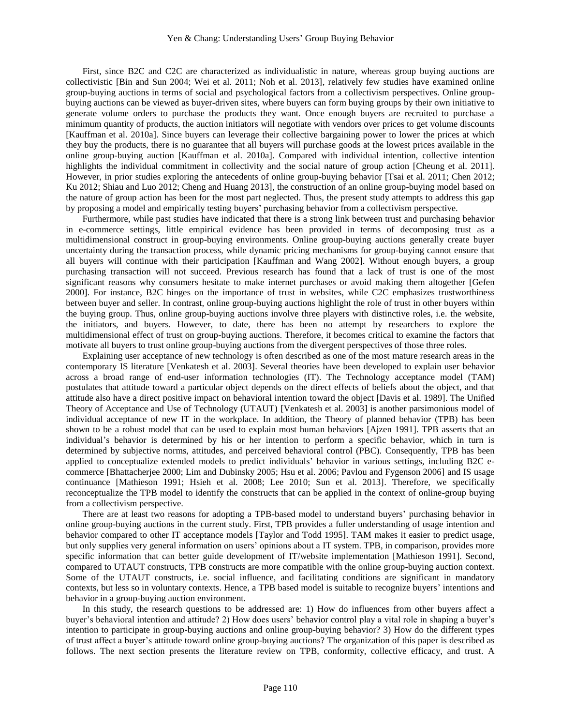First, since B2C and C2C are characterized as individualistic in nature, whereas group buying auctions are collectivistic [Bin and Sun 2004; Wei et al. 2011; Noh et al. 2013], relatively few studies have examined online group-buying auctions in terms of social and psychological factors from a collectivism perspectives. Online groupbuying auctions can be viewed as buyer-driven sites, where buyers can form buying groups by their own initiative to generate volume orders to purchase the products they want. Once enough buyers are recruited to purchase a minimum quantity of products, the auction initiators will negotiate with vendors over prices to get volume discounts [Kauffman et al. 2010a]. Since buyers can leverage their collective bargaining power to lower the prices at which they buy the products, there is no guarantee that all buyers will purchase goods at the lowest prices available in the online group-buying auction [Kauffman et al. 2010a]. Compared with individual intention, collective intention highlights the individual commitment in collectivity and the social nature of group action [Cheung et al. 2011]. However, in prior studies exploring the antecedents of online group-buying behavior [Tsai et al. 2011; Chen 2012; Ku 2012; Shiau and Luo 2012; Cheng and Huang 2013], the construction of an online group-buying model based on the nature of group action has been for the most part neglected. Thus, the present study attempts to address this gap by proposing a model and empirically testing buyers' purchasing behavior from a collectivism perspective.

Furthermore, while past studies have indicated that there is a strong link between trust and purchasing behavior in e-commerce settings, little empirical evidence has been provided in terms of decomposing trust as a multidimensional construct in group-buying environments. Online group-buying auctions generally create buyer uncertainty during the transaction process, while dynamic pricing mechanisms for group-buying cannot ensure that all buyers will continue with their participation [Kauffman and Wang 2002]. Without enough buyers, a group purchasing transaction will not succeed. Previous research has found that a lack of trust is one of the most significant reasons why consumers hesitate to make internet purchases or avoid making them altogether [Gefen 2000]. For instance, B2C hinges on the importance of trust in websites, while C2C emphasizes trustworthiness between buyer and seller. In contrast, online group-buying auctions highlight the role of trust in other buyers within the buying group. Thus, online group-buying auctions involve three players with distinctive roles, i.e. the website, the initiators, and buyers. However, to date, there has been no attempt by researchers to explore the multidimensional effect of trust on group-buying auctions. Therefore, it becomes critical to examine the factors that motivate all buyers to trust online group-buying auctions from the divergent perspectives of those three roles.

Explaining user acceptance of new technology is often described as one of the most mature research areas in the contemporary IS literature [Venkatesh et al. 2003]. Several theories have been developed to explain user behavior across a broad range of end-user information technologies (IT). The Technology acceptance model (TAM) postulates that attitude toward a particular object depends on the direct effects of beliefs about the object, and that attitude also have a direct positive impact on behavioral intention toward the object [Davis et al. 1989]. The Unified Theory of Acceptance and Use of Technology (UTAUT) [Venkatesh et al. 2003] is another parsimonious model of individual acceptance of new IT in the workplace. In addition, the Theory of planned behavior (TPB) has been shown to be a robust model that can be used to explain most human behaviors [Ajzen 1991]. TPB asserts that an individual's behavior is determined by his or her intention to perform a specific behavior, which in turn is determined by subjective norms, attitudes, and perceived behavioral control (PBC). Consequently, TPB has been applied to conceptualize extended models to predict individuals' behavior in various settings, including B2C ecommerce [Bhattacherjee 2000; Lim and Dubinsky 2005; Hsu et al. 2006; Pavlou and Fygenson 2006] and IS usage continuance [Mathieson 1991; Hsieh et al. 2008; Lee 2010; Sun et al. 2013]. Therefore, we specifically reconceptualize the TPB model to identify the constructs that can be applied in the context of online-group buying from a collectivism perspective.

There are at least two reasons for adopting a TPB-based model to understand buyers' purchasing behavior in online group-buying auctions in the current study. First, TPB provides a fuller understanding of usage intention and behavior compared to other IT acceptance models [Taylor and Todd 1995]. TAM makes it easier to predict usage, but only supplies very general information on users' opinions about a IT system. TPB, in comparison, provides more specific information that can better guide development of IT/website implementation [Mathieson 1991]. Second, compared to UTAUT constructs, TPB constructs are more compatible with the online group-buying auction context. Some of the UTAUT constructs, i.e. social influence, and facilitating conditions are significant in mandatory contexts, but less so in voluntary contexts. Hence, a TPB based model is suitable to recognize buyers' intentions and behavior in a group-buying auction environment.

In this study, the research questions to be addressed are: 1) How do influences from other buyers affect a buyer's behavioral intention and attitude? 2) How does users' behavior control play a vital role in shaping a buyer's intention to participate in group-buying auctions and online group-buying behavior? 3) How do the different types of trust affect a buyer's attitude toward online group-buying auctions? The organization of this paper is described as follows. The next section presents the literature review on TPB, conformity, collective efficacy, and trust. A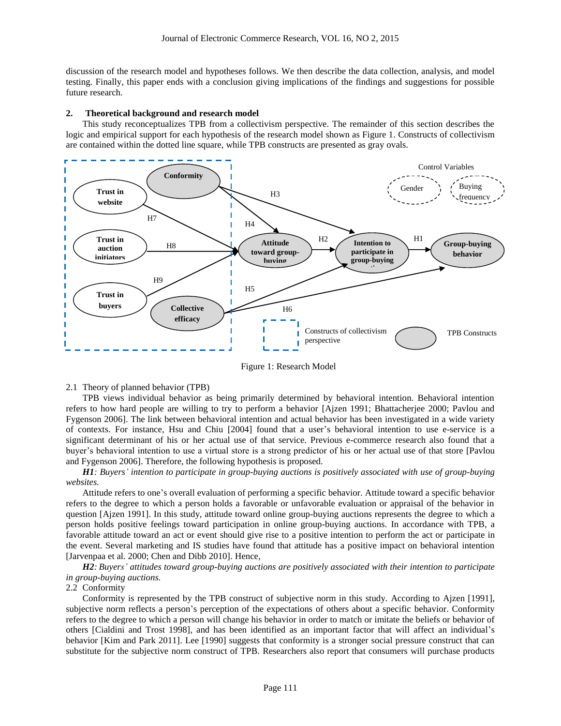discussion of the research model and hypotheses follows. We then describe the data collection, analysis, and model testing. Finally, this paper ends with a conclusion giving implications of the findings and suggestions for possible future research.

#### **2. Theoretical background and research model**

This study reconceptualizes TPB from a collectivism perspective. The remainder of this section describes the logic and empirical support for each hypothesis of the research model shown as Figure 1. Constructs of collectivism are contained within the dotted line square, while TPB constructs are presented as gray ovals.



Figure 1: Research Model

2.1 Theory of planned behavior (TPB)

TPB views individual behavior as being primarily determined by behavioral intention. Behavioral intention refers to how hard people are willing to try to perform a behavior [Ajzen 1991; Bhattacherjee 2000; Pavlou and Fygenson 2006]. The link between behavioral intention and actual behavior has been investigated in a wide variety of contexts. For instance, Hsu and Chiu [2004] found that a user's behavioral intention to use e-service is a significant determinant of his or her actual use of that service. Previous e-commerce research also found that a buyer's behavioral intention to use a virtual store is a strong predictor of his or her actual use of that store [Pavlou and Fygenson 2006]. Therefore, the following hypothesis is proposed.

#### *H1: Buyers' intention to participate in group-buying auctions is positively associated with use of group-buying websites.*

Attitude refers to one's overall evaluation of performing a specific behavior. Attitude toward a specific behavior refers to the degree to which a person holds a favorable or unfavorable evaluation or appraisal of the behavior in question [Ajzen 1991]. In this study, attitude toward online group-buying auctions represents the degree to which a person holds positive feelings toward participation in online group-buying auctions. In accordance with TPB, a favorable attitude toward an act or event should give rise to a positive intention to perform the act or participate in the event. Several marketing and IS studies have found that attitude has a positive impact on behavioral intention [Jarvenpaa et al. 2000; Chen and Dibb 2010]. Hence,

*H2: Buyers' attitudes toward group-buying auctions are positively associated with their intention to participate in group-buying auctions.*

## 2.2 Conformity

Conformity is represented by the TPB construct of subjective norm in this study. According to Ajzen [1991], subjective norm reflects a person's perception of the expectations of others about a specific behavior. Conformity refers to the degree to which a person will change his behavior in order to match or imitate the beliefs or behavior of others [Cialdini and Trost 1998], and has been identified as an important factor that will affect an individual's behavior [Kim and Park 2011]. Lee [1990] suggests that conformity is a stronger social pressure construct that can substitute for the subjective norm construct of TPB. Researchers also report that consumers will purchase products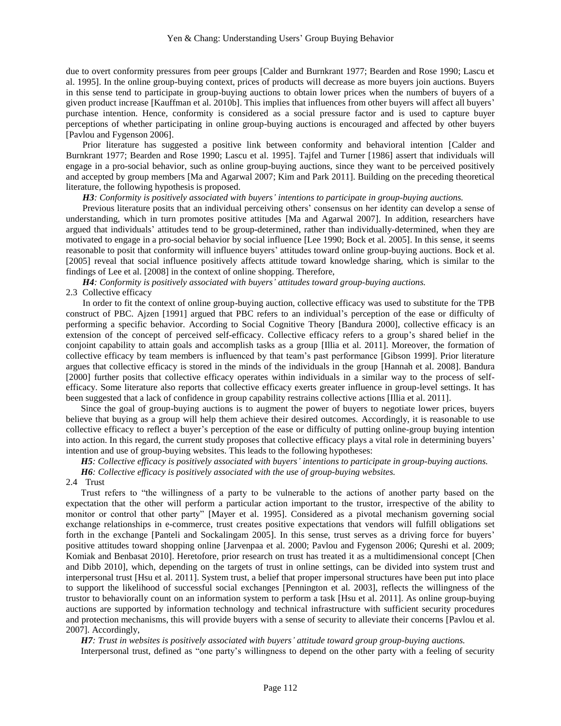due to overt conformity pressures from peer groups [Calder and Burnkrant 1977; Bearden and Rose 1990; Lascu et al. 1995]. In the online group-buying context, prices of products will decrease as more buyers join auctions. Buyers in this sense tend to participate in group-buying auctions to obtain lower prices when the numbers of buyers of a given product increase [Kauffman et al. 2010b]. This implies that influences from other buyers will affect all buyers' purchase intention. Hence, conformity is considered as a social pressure factor and is used to capture buyer perceptions of whether participating in online group-buying auctions is encouraged and affected by other buyers [Pavlou and Fygenson 2006].

Prior literature has suggested a positive link between conformity and behavioral intention [Calder and Burnkrant 1977; Bearden and Rose 1990; Lascu et al. 1995]. Tajfel and Turner [1986] assert that individuals will engage in a pro-social behavior, such as online group-buying auctions, since they want to be perceived positively and accepted by group members [Ma and Agarwal 2007; Kim and Park 2011]. Building on the preceding theoretical literature, the following hypothesis is proposed.

*H3: Conformity is positively associated with buyers' intentions to participate in group-buying auctions.*

Previous literature posits that an individual perceiving others' consensus on her identity can develop a sense of understanding, which in turn promotes positive attitudes [Ma and Agarwal 2007]. In addition, researchers have argued that individuals' attitudes tend to be group-determined, rather than individually-determined, when they are motivated to engage in a pro-social behavior by social influence [Lee 1990; Bock et al. 2005]. In this sense, it seems reasonable to posit that conformity will influence buyers' attitudes toward online group-buying auctions. Bock et al. [2005] reveal that social influence positively affects attitude toward knowledge sharing, which is similar to the findings of Lee et al. [2008] in the context of online shopping. Therefore,

*H4: Conformity is positively associated with buyers' attitudes toward group-buying auctions.* 2.3 Collective efficacy

In order to fit the context of online group-buying auction, collective efficacy was used to substitute for the TPB construct of PBC. Ajzen [1991] argued that PBC refers to an individual's perception of the ease or difficulty of performing a specific behavior. According to Social Cognitive Theory [Bandura 2000], collective efficacy is an extension of the concept of perceived self-efficacy. Collective efficacy refers to a group's shared belief in the conjoint capability to attain goals and accomplish tasks as a group [Illia et al. 2011]. Moreover, the formation of collective efficacy by team members is influenced by that team's past performance [Gibson 1999]. Prior literature argues that collective efficacy is stored in the minds of the individuals in the group [Hannah et al. 2008]. Bandura [2000] further posits that collective efficacy operates within individuals in a similar way to the process of selfefficacy. Some literature also reports that collective efficacy exerts greater influence in group-level settings. It has been suggested that a lack of confidence in group capability restrains collective actions [Illia et al. 2011].

Since the goal of group-buying auctions is to augment the power of buyers to negotiate lower prices, buyers believe that buying as a group will help them achieve their desired outcomes. Accordingly, it is reasonable to use collective efficacy to reflect a buyer's perception of the ease or difficulty of putting online-group buying intention into action. In this regard, the current study proposes that collective efficacy plays a vital role in determining buyers' intention and use of group-buying websites. This leads to the following hypotheses:

*H5: Collective efficacy is positively associated with buyers' intentions to participate in group-buying auctions. H6: Collective efficacy is positively associated with the use of group-buying websites.*

2.4 Trust

Trust refers to "the willingness of a party to be vulnerable to the actions of another party based on the expectation that the other will perform a particular action important to the trustor, irrespective of the ability to monitor or control that other party" [Mayer et al. 1995]. Considered as a pivotal mechanism governing social exchange relationships in e-commerce, trust creates positive expectations that vendors will fulfill obligations set forth in the exchange [Panteli and Sockalingam 2005]. In this sense, trust serves as a driving force for buyers' positive attitudes toward shopping online [Jarvenpaa et al. 2000; Pavlou and Fygenson 2006; Qureshi et al. 2009; Komiak and Benbasat 2010]. Heretofore, prior research on trust has treated it as a multidimensional concept [Chen and Dibb 2010], which, depending on the targets of trust in online settings, can be divided into system trust and interpersonal trust [Hsu et al. 2011]. System trust, a belief that proper impersonal structures have been put into place to support the likelihood of successful social exchanges [Pennington et al. 2003], reflects the willingness of the trustor to behaviorally count on an information system to perform a task [Hsu et al. 2011]. As online group-buying auctions are supported by information technology and technical infrastructure with sufficient security procedures and protection mechanisms, this will provide buyers with a sense of security to alleviate their concerns [Pavlou et al. 2007]. Accordingly,

*H7: Trust in websites is positively associated with buyers' attitude toward group group-buying auctions.*

Interpersonal trust, defined as "one party's willingness to depend on the other party with a feeling of security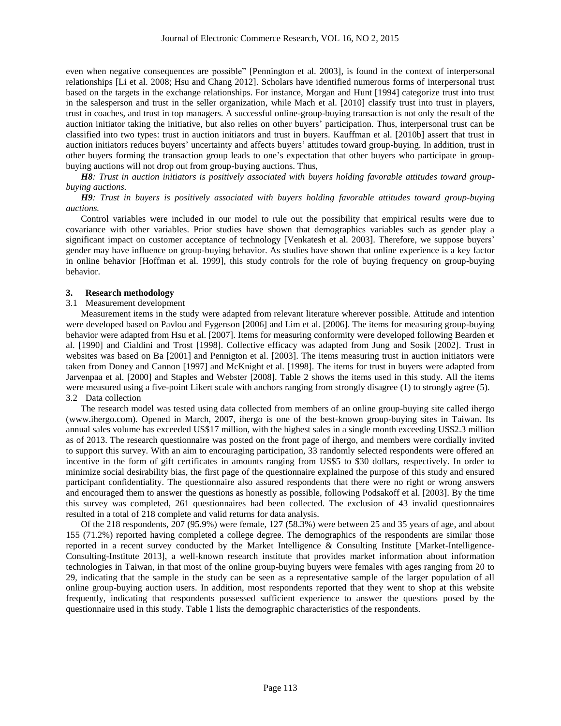even when negative consequences are possible" [Pennington et al. 2003], is found in the context of interpersonal relationships [Li et al. 2008; Hsu and Chang 2012]. Scholars have identified numerous forms of interpersonal trust based on the targets in the exchange relationships. For instance, Morgan and Hunt [1994] categorize trust into trust in the salesperson and trust in the seller organization, while Mach et al. [2010] classify trust into trust in players, trust in coaches, and trust in top managers. A successful online-group-buying transaction is not only the result of the auction initiator taking the initiative, but also relies on other buyers' participation. Thus, interpersonal trust can be classified into two types: trust in auction initiators and trust in buyers. Kauffman et al. [2010b] assert that trust in auction initiators reduces buyers' uncertainty and affects buyers' attitudes toward group-buying. In addition, trust in other buyers forming the transaction group leads to one's expectation that other buyers who participate in groupbuying auctions will not drop out from group-buying auctions. Thus,

*H8: Trust in auction initiators is positively associated with buyers holding favorable attitudes toward groupbuying auctions.*

### *H9: Trust in buyers is positively associated with buyers holding favorable attitudes toward group-buying auctions.*

Control variables were included in our model to rule out the possibility that empirical results were due to covariance with other variables. Prior studies have shown that demographics variables such as gender play a significant impact on customer acceptance of technology [Venkatesh et al. 2003]. Therefore, we suppose buyers' gender may have influence on group-buying behavior. As studies have shown that online experience is a key factor in online behavior [Hoffman et al. 1999], this study controls for the role of buying frequency on group-buying behavior.

#### **3. Research methodology**

### 3.1 Measurement development

Measurement items in the study were adapted from relevant literature wherever possible. Attitude and intention were developed based on Pavlou and Fygenson [2006] and Lim et al. [2006]. The items for measuring group-buying behavior were adapted from Hsu et al. [2007]. Items for measuring conformity were developed following Bearden et al. [1990] and Cialdini and Trost [1998]. Collective efficacy was adapted from Jung and Sosik [2002]. Trust in websites was based on Ba [2001] and Pennigton et al. [2003]. The items measuring trust in auction initiators were taken from Doney and Cannon [1997] and McKnight et al. [1998]. The items for trust in buyers were adapted from Jarvenpaa et al. [2000] and Staples and Webster [2008]. Table 2 shows the items used in this study. All the items were measured using a five-point Likert scale with anchors ranging from strongly disagree (1) to strongly agree (5). 3.2 Data collection

The research model was tested using data collected from members of an online group-buying site called ihergo (www.ihergo.com). Opened in March, 2007, ihergo is one of the best-known group-buying sites in Taiwan. Its annual sales volume has exceeded US\$17 million, with the highest sales in a single month exceeding US\$2.3 million as of 2013. The research questionnaire was posted on the front page of ihergo, and members were cordially invited to support this survey. With an aim to encouraging participation, 33 randomly selected respondents were offered an incentive in the form of gift certificates in amounts ranging from US\$5 to \$30 dollars, respectively. In order to minimize social desirability bias, the first page of the questionnaire explained the purpose of this study and ensured participant confidentiality. The questionnaire also assured respondents that there were no right or wrong answers and encouraged them to answer the questions as honestly as possible, following Podsakoff et al. [2003]. By the time this survey was completed, 261 questionnaires had been collected. The exclusion of 43 invalid questionnaires resulted in a total of 218 complete and valid returns for data analysis.

Of the 218 respondents, 207 (95.9%) were female, 127 (58.3%) were between 25 and 35 years of age, and about 155 (71.2%) reported having completed a college degree. The demographics of the respondents are similar those reported in a recent survey conducted by the Market Intelligence & Consulting Institute [Market-Intelligence-Consulting-Institute 2013], a well-known research institute that provides market information about information technologies in Taiwan, in that most of the online group-buying buyers were females with ages ranging from 20 to 29, indicating that the sample in the study can be seen as a representative sample of the larger population of all online group-buying auction users. In addition, most respondents reported that they went to shop at this website frequently, indicating that respondents possessed sufficient experience to answer the questions posed by the questionnaire used in this study. Table 1 lists the demographic characteristics of the respondents.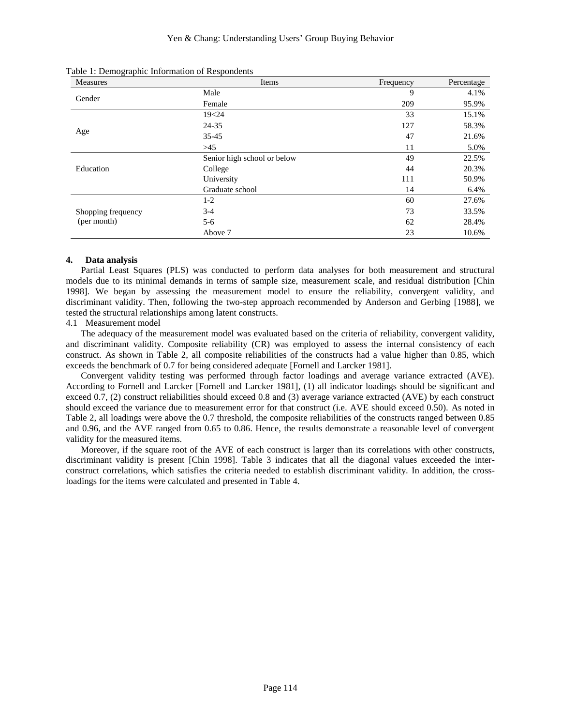| <b>Measures</b>            | Items                       | Frequency | Percentage |
|----------------------------|-----------------------------|-----------|------------|
| Gender<br>Age<br>Education | Male                        | 9         | 4.1%       |
|                            | Female                      | 209       | 95.9%      |
|                            | 19<24                       | 33        | 15.1%      |
|                            | 24-35                       | 127       | 58.3%      |
|                            | 35-45                       | 47        | 21.6%      |
|                            | $>45$                       | 11        | 5.0%       |
|                            | Senior high school or below | 49        | 22.5%      |
|                            | College                     | 44        | 20.3%      |
|                            | University                  | 111       | 50.9%      |
|                            | Graduate school             | 14        | 6.4%       |
|                            | $1-2$                       | 60        | 27.6%      |
| Shopping frequency         | $3-4$                       | 73        | 33.5%      |
| (per month)                | $5-6$                       | 62        | 28.4%      |
|                            | Above 7                     | 23        | 10.6%      |

Table 1: Demographic Information of Respondents

#### **4. Data analysis**

Partial Least Squares (PLS) was conducted to perform data analyses for both measurement and structural models due to its minimal demands in terms of sample size, measurement scale, and residual distribution [Chin 1998]. We began by assessing the measurement model to ensure the reliability, convergent validity, and discriminant validity. Then, following the two-step approach recommended by Anderson and Gerbing [1988], we tested the structural relationships among latent constructs.

## 4.1 Measurement model

The adequacy of the measurement model was evaluated based on the criteria of reliability, convergent validity, and discriminant validity. Composite reliability (CR) was employed to assess the internal consistency of each construct. As shown in Table 2, all composite reliabilities of the constructs had a value higher than 0.85, which exceeds the benchmark of 0.7 for being considered adequate [Fornell and Larcker 1981].

Convergent validity testing was performed through factor loadings and average variance extracted (AVE). According to Fornell and Larcker [Fornell and Larcker 1981], (1) all indicator loadings should be significant and exceed 0.7, (2) construct reliabilities should exceed 0.8 and (3) average variance extracted (AVE) by each construct should exceed the variance due to measurement error for that construct (i.e. AVE should exceed 0.50). As noted in Table 2, all loadings were above the 0.7 threshold, the composite reliabilities of the constructs ranged between 0.85 and 0.96, and the AVE ranged from 0.65 to 0.86. Hence, the results demonstrate a reasonable level of convergent validity for the measured items.

Moreover, if the square root of the AVE of each construct is larger than its correlations with other constructs, discriminant validity is present [Chin 1998]. Table 3 indicates that all the diagonal values exceeded the interconstruct correlations, which satisfies the criteria needed to establish discriminant validity. In addition, the crossloadings for the items were calculated and presented in Table 4.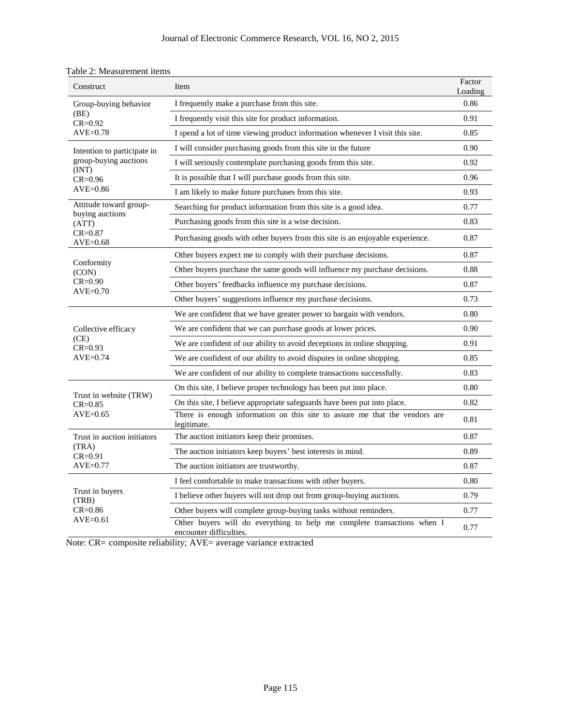| Construct                                             | Item                                                                                               | Factor<br>Loading |  |  |
|-------------------------------------------------------|----------------------------------------------------------------------------------------------------|-------------------|--|--|
| Group-buying behavior<br>(BE)<br>$CR = 0.92$          | I frequently make a purchase from this site.                                                       | 0.86              |  |  |
|                                                       | I frequently visit this site for product information.                                              |                   |  |  |
| $AVE=0.78$                                            | I spend a lot of time viewing product information whenever I visit this site.                      | 0.85              |  |  |
| Intention to participate in                           | I will consider purchasing goods from this site in the future                                      | 0.90              |  |  |
| group-buying auctions                                 | I will seriously contemplate purchasing goods from this site.                                      | 0.92              |  |  |
| (INT)<br>$CR = 0.96$                                  | It is possible that I will purchase goods from this site.                                          |                   |  |  |
| AVE=0.86                                              | I am likely to make future purchases from this site.                                               | 0.93              |  |  |
| Attitude toward group-                                | Searching for product information from this site is a good idea.                                   |                   |  |  |
| buying auctions<br>(ATT)                              | Purchasing goods from this site is a wise decision.                                                | 0.83              |  |  |
| $CR = 0.87$<br>AVE=0.68                               | Purchasing goods with other buyers from this site is an enjoyable experience.                      | 0.87              |  |  |
|                                                       | Other buyers expect me to comply with their purchase decisions.                                    | 0.87              |  |  |
| Conformity<br>(CON)<br>$CR = 0.90$<br>$AVE=0.70$      | Other buyers purchase the same goods will influence my purchase decisions.                         |                   |  |  |
|                                                       | Other buyers' feedbacks influence my purchase decisions.                                           | 0.87              |  |  |
|                                                       | Other buyers' suggestions influence my purchase decisions.                                         | 0.73              |  |  |
|                                                       | We are confident that we have greater power to bargain with vendors.                               | 0.80              |  |  |
| Collective efficacy                                   | We are confident that we can purchase goods at lower prices.                                       |                   |  |  |
| (CE)<br>$CR = 0.93$                                   | We are confident of our ability to avoid deceptions in online shopping.                            | 0.91              |  |  |
| $AVE=0.74$                                            | We are confident of our ability to avoid disputes in online shopping.                              | 0.85              |  |  |
|                                                       | We are confident of our ability to complete transactions successfully.                             | 0.83              |  |  |
|                                                       | On this site, I believe proper technology has been put into place.                                 | 0.80              |  |  |
| Trust in website (TRW)<br>$CR = 0.85$                 | On this site, I believe appropriate safeguards have been put into place.                           |                   |  |  |
| $AVE=0.65$                                            | There is enough information on this site to assure me that the vendors are<br>legitimate.          | 0.81              |  |  |
| Trust in auction initiators                           | The auction initiators keep their promises.                                                        | 0.87              |  |  |
| (TRA)<br>$CR = 0.91$<br>$AVE=0.77$                    | The auction initiators keep buyers' best interests in mind.                                        |                   |  |  |
|                                                       | The auction initiators are trustworthy.                                                            | 0.87              |  |  |
| Trust in buyers<br>(TRB)<br>$CR = 0.86$<br>$AVE=0.61$ | I feel comfortable to make transactions with other buyers.                                         | 0.80              |  |  |
|                                                       | I believe other buyers will not drop out from group-buying auctions.                               | 0.79              |  |  |
|                                                       | Other buyers will complete group-buying tasks without reminders.                                   | 0.77              |  |  |
|                                                       | Other buyers will do everything to help me complete transactions when I<br>encounter difficulties. | 0.77              |  |  |

|  | Table 2: Measurement items |  |
|--|----------------------------|--|
|--|----------------------------|--|

Note: CR= composite reliability; AVE= average variance extracted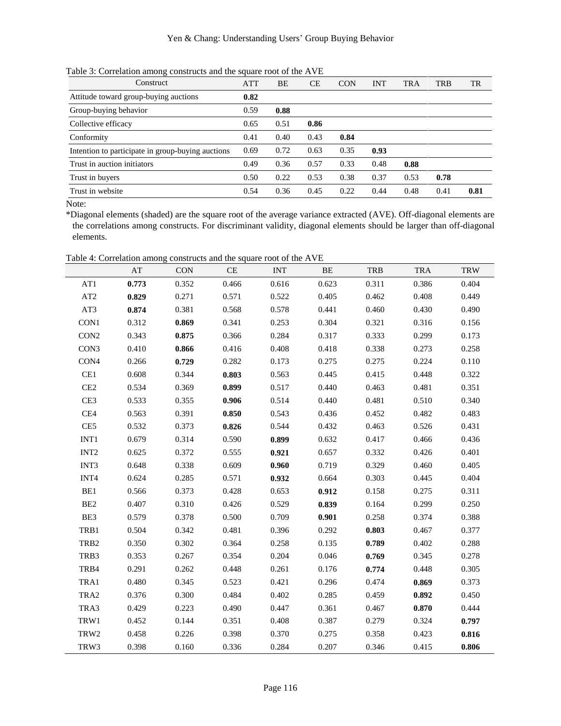Table 3: Correlation among constructs and the square root of the AVE

| Construct                                         | <b>ATT</b> | BΕ   | СE   | <b>CON</b> | <b>INT</b> | <b>TRA</b> | <b>TRB</b> | TR   |
|---------------------------------------------------|------------|------|------|------------|------------|------------|------------|------|
| Attitude toward group-buying auctions             | 0.82       |      |      |            |            |            |            |      |
| Group-buying behavior                             | 0.59       | 0.88 |      |            |            |            |            |      |
| Collective efficacy                               | 0.65       | 0.51 | 0.86 |            |            |            |            |      |
| Conformity                                        | 0.41       | 0.40 | 0.43 | 0.84       |            |            |            |      |
| Intention to participate in group-buying auctions | 0.69       | 0.72 | 0.63 | 0.35       | 0.93       |            |            |      |
| Trust in auction initiators                       | 0.49       | 0.36 | 0.57 | 0.33       | 0.48       | 0.88       |            |      |
| Trust in buyers                                   | 0.50       | 0.22 | 0.53 | 0.38       | 0.37       | 0.53       | 0.78       |      |
| Trust in website                                  | 0.54       | 0.36 | 0.45 | 0.22       | 0.44       | 0.48       | 0.41       | 0.81 |
|                                                   |            |      |      |            |            |            |            |      |

Note:

\*Diagonal elements (shaded) are the square root of the average variance extracted (AVE). Off-diagonal elements are the correlations among constructs. For discriminant validity, diagonal elements should be larger than off-diagonal elements.

Table 4: Correlation among constructs and the square root of the AVE

|                  |       | Twore $\alpha$ . Correlation among constructs and the square root of the $\alpha$ |           |            |       |            |             |            |
|------------------|-------|-----------------------------------------------------------------------------------|-----------|------------|-------|------------|-------------|------------|
|                  | AT    | <b>CON</b>                                                                        | <b>CE</b> | <b>INT</b> | BE    | <b>TRB</b> | <b>TRA</b>  | <b>TRW</b> |
| AT1              | 0.773 | 0.352                                                                             | 0.466     | 0.616      | 0.623 | 0.311      | 0.386       | 0.404      |
| AT2              | 0.829 | 0.271                                                                             | 0.571     | 0.522      | 0.405 | 0.462      | 0.408       | 0.449      |
| AT3              | 0.874 | 0.381                                                                             | 0.568     | 0.578      | 0.441 | 0.460      | 0.430       | 0.490      |
| CON1             | 0.312 | 0.869                                                                             | 0.341     | 0.253      | 0.304 | 0.321      | 0.316       | 0.156      |
| CON <sub>2</sub> | 0.343 | 0.875                                                                             | 0.366     | 0.284      | 0.317 | 0.333      | 0.299       | 0.173      |
| CON3             | 0.410 | 0.866                                                                             | 0.416     | 0.408      | 0.418 | 0.338      | 0.273       | 0.258      |
| CON4             | 0.266 | 0.729                                                                             | 0.282     | 0.173      | 0.275 | 0.275      | 0.224       | 0.110      |
| CE1              | 0.608 | 0.344                                                                             | 0.803     | 0.563      | 0.445 | 0.415      | 0.448       | 0.322      |
| CE2              | 0.534 | 0.369                                                                             | 0.899     | 0.517      | 0.440 | 0.463      | 0.481       | 0.351      |
| CE3              | 0.533 | 0.355                                                                             | 0.906     | 0.514      | 0.440 | 0.481      | 0.510       | 0.340      |
| CE4              | 0.563 | 0.391                                                                             | 0.850     | 0.543      | 0.436 | 0.452      | 0.482       | 0.483      |
| CE5              | 0.532 | 0.373                                                                             | 0.826     | 0.544      | 0.432 | 0.463      | 0.526       | 0.431      |
| $INT1$           | 0.679 | 0.314                                                                             | 0.590     | 0.899      | 0.632 | 0.417      | 0.466       | 0.436      |
| INT <sub>2</sub> | 0.625 | 0.372                                                                             | 0.555     | 0.921      | 0.657 | 0.332      | 0.426       | 0.401      |
| INT3             | 0.648 | 0.338                                                                             | 0.609     | 0.960      | 0.719 | 0.329      | 0.460       | 0.405      |
| INT <sub>4</sub> | 0.624 | 0.285                                                                             | 0.571     | 0.932      | 0.664 | 0.303      | 0.445       | 0.404      |
| BE1              | 0.566 | 0.373                                                                             | 0.428     | 0.653      | 0.912 | 0.158      | 0.275       | 0.311      |
| BE <sub>2</sub>  | 0.407 | 0.310                                                                             | 0.426     | 0.529      | 0.839 | 0.164      | 0.299       | 0.250      |
| BE3              | 0.579 | 0.378                                                                             | 0.500     | 0.709      | 0.901 | 0.258      | 0.374       | 0.388      |
| TRB1             | 0.504 | 0.342                                                                             | 0.481     | 0.396      | 0.292 | 0.803      | 0.467       | 0.377      |
| TRB <sub>2</sub> | 0.350 | 0.302                                                                             | 0.364     | 0.258      | 0.135 | 0.789      | 0.402       | 0.288      |
| TRB3             | 0.353 | 0.267                                                                             | 0.354     | 0.204      | 0.046 | 0.769      | 0.345       | 0.278      |
| TRB4             | 0.291 | 0.262                                                                             | 0.448     | 0.261      | 0.176 | 0.774      | 0.448       | 0.305      |
| TRA1             | 0.480 | 0.345                                                                             | 0.523     | 0.421      | 0.296 | 0.474      | 0.869       | 0.373      |
| TRA2             | 0.376 | 0.300                                                                             | 0.484     | 0.402      | 0.285 | 0.459      | 0.892       | 0.450      |
| TRA3             | 0.429 | 0.223                                                                             | 0.490     | 0.447      | 0.361 | 0.467      | 0.870       | 0.444      |
| TRW1             | 0.452 | 0.144                                                                             | 0.351     | 0.408      | 0.387 | 0.279      | 0.324       | 0.797      |
| TRW2             | 0.458 | 0.226                                                                             | 0.398     | 0.370      | 0.275 | 0.358      | 0.423       | 0.816      |
| TRW3             | 0.398 | 0.160                                                                             | 0.336     | 0.284      | 0.207 |            | 0.346 0.415 | 0.806      |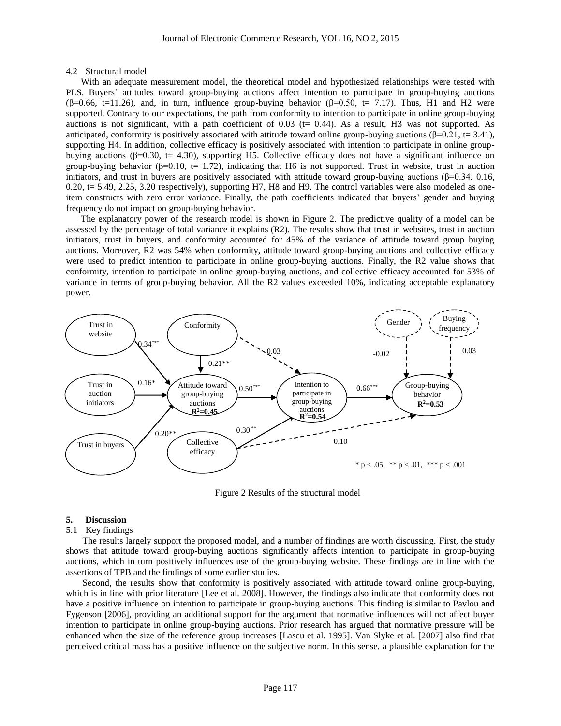#### 4.2 Structural model

With an adequate measurement model, the theoretical model and hypothesized relationships were tested with PLS. Buyers' attitudes toward group-buying auctions affect intention to participate in group-buying auctions  $(\beta=0.66, t=11.26)$ , and, in turn, influence group-buying behavior  $(\beta=0.50, t= 7.17)$ . Thus, H1 and H2 were supported. Contrary to our expectations, the path from conformity to intention to participate in online group-buying auctions is not significant, with a path coefficient of  $0.03$  (t= 0.44). As a result, H3 was not supported. As anticipated, conformity is positively associated with attitude toward online group-buying auctions (β=0.21, t= 3.41), supporting H4. In addition, collective efficacy is positively associated with intention to participate in online groupbuying auctions (β=0.30, t= 4.30), supporting H5. Collective efficacy does not have a significant influence on group-buying behavior ( $\beta$ =0.10, t= 1.72), indicating that H6 is not supported. Trust in website, trust in auction initiators, and trust in buyers are positively associated with attitude toward group-buying auctions ( $\beta$ =0.34, 0.16,  $0.20$ ,  $t = 5.49$ ,  $2.25$ ,  $3.20$  respectively), supporting H7, H8 and H9. The control variables were also modeled as oneitem constructs with zero error variance. Finally, the path coefficients indicated that buyers' gender and buying frequency do not impact on group-buying behavior.

The explanatory power of the research model is shown in Figure 2. The predictive quality of a model can be assessed by the percentage of total variance it explains (R2). The results show that trust in websites, trust in auction initiators, trust in buyers, and conformity accounted for 45% of the variance of attitude toward group buying auctions. Moreover, R2 was 54% when conformity, attitude toward group-buying auctions and collective efficacy were used to predict intention to participate in online group-buying auctions. Finally, the R2 value shows that conformity, intention to participate in online group-buying auctions, and collective efficacy accounted for 53% of variance in terms of group-buying behavior. All the R2 values exceeded 10%, indicating acceptable explanatory power.



Figure 2 Results of the structural model

#### **5. Discussion**

#### 5.1 Key findings

The results largely support the proposed model, and a number of findings are worth discussing. First, the study shows that attitude toward group-buying auctions significantly affects intention to participate in group-buying auctions, which in turn positively influences use of the group-buying website. These findings are in line with the assertions of TPB and the findings of some earlier studies.

Second, the results show that conformity is positively associated with attitude toward online group-buying, which is in line with prior literature [Lee et al. 2008]. However, the findings also indicate that conformity does not have a positive influence on intention to participate in group-buying auctions. This finding is similar to Pavlou and Fygenson [2006], providing an additional support for the argument that normative influences will not affect buyer intention to participate in online group-buying auctions. Prior research has argued that normative pressure will be enhanced when the size of the reference group increases [Lascu et al. 1995]. Van Slyke et al. [2007] also find that perceived critical mass has a positive influence on the subjective norm. In this sense, a plausible explanation for the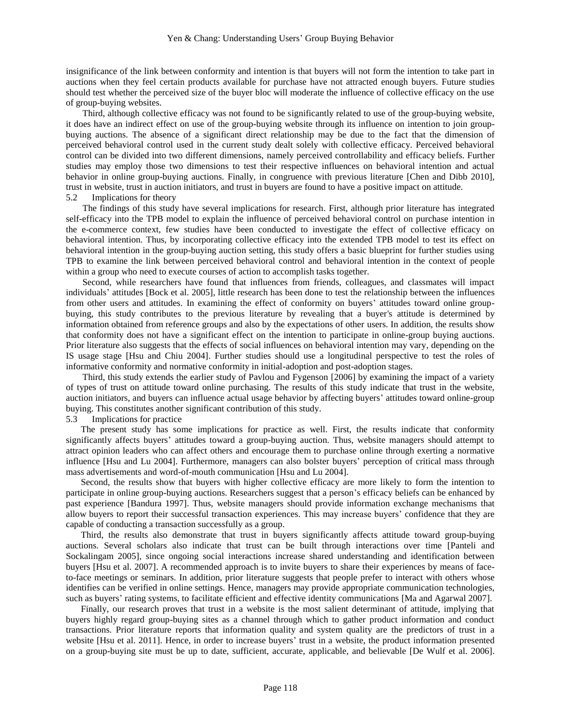insignificance of the link between conformity and intention is that buyers will not form the intention to take part in auctions when they feel certain products available for purchase have not attracted enough buyers. Future studies should test whether the perceived size of the buyer bloc will moderate the influence of collective efficacy on the use of group-buying websites.

Third, although collective efficacy was not found to be significantly related to use of the group-buying website, it does have an indirect effect on use of the group-buying website through its influence on intention to join groupbuying auctions. The absence of a significant direct relationship may be due to the fact that the dimension of perceived behavioral control used in the current study dealt solely with collective efficacy. Perceived behavioral control can be divided into two different dimensions, namely perceived controllability and efficacy beliefs. Further studies may employ those two dimensions to test their respective influences on behavioral intention and actual behavior in online group-buying auctions. Finally, in congruence with previous literature [Chen and Dibb 2010], trust in website, trust in auction initiators, and trust in buyers are found to have a positive impact on attitude. 5.2 Implications for theory

The findings of this study have several implications for research. First, although prior literature has integrated self-efficacy into the TPB model to explain the influence of perceived behavioral control on purchase intention in the e-commerce context, few studies have been conducted to investigate the effect of collective efficacy on behavioral intention. Thus, by incorporating collective efficacy into the extended TPB model to test its effect on behavioral intention in the group-buying auction setting, this study offers a basic blueprint for further studies using TPB to examine the link between perceived behavioral control and behavioral intention in the context of people within a group who need to execute courses of action to accomplish tasks together.

Second, while researchers have found that influences from friends, colleagues, and classmates will impact individuals' attitudes [Bock et al. 2005], little research has been done to test the relationship between the influences from other users and attitudes. In examining the effect of conformity on buyers' attitudes toward online groupbuying, this study contributes to the previous literature by revealing that a buyer's attitude is determined by information obtained from reference groups and also by the expectations of other users. In addition, the results show that conformity does not have a significant effect on the intention to participate in online-group buying auctions. Prior literature also suggests that the effects of social influences on behavioral intention may vary, depending on the IS usage stage [Hsu and Chiu 2004]. Further studies should use a longitudinal perspective to test the roles of informative conformity and normative conformity in initial-adoption and post-adoption stages.

Third, this study extends the earlier study of Pavlou and Fygenson [2006] by examining the impact of a variety of types of trust on attitude toward online purchasing. The results of this study indicate that trust in the website, auction initiators, and buyers can influence actual usage behavior by affecting buyers' attitudes toward online-group buying. This constitutes another significant contribution of this study.

### 5.3 Implications for practice

The present study has some implications for practice as well. First, the results indicate that conformity significantly affects buyers' attitudes toward a group-buying auction. Thus, website managers should attempt to attract opinion leaders who can affect others and encourage them to purchase online through exerting a normative influence [Hsu and Lu 2004]. Furthermore, managers can also bolster buyers' perception of critical mass through mass advertisements and word-of-mouth communication [Hsu and Lu 2004].

Second, the results show that buyers with higher collective efficacy are more likely to form the intention to participate in online group-buying auctions. Researchers suggest that a person's efficacy beliefs can be enhanced by past experience [Bandura 1997]. Thus, website managers should provide information exchange mechanisms that allow buyers to report their successful transaction experiences. This may increase buyers' confidence that they are capable of conducting a transaction successfully as a group.

Third, the results also demonstrate that trust in buyers significantly affects attitude toward group-buying auctions. Several scholars also indicate that trust can be built through interactions over time [Panteli and Sockalingam 2005], since ongoing social interactions increase shared understanding and identification between buyers [Hsu et al. 2007]. A recommended approach is to invite buyers to share their experiences by means of faceto-face meetings or seminars. In addition, prior literature suggests that people prefer to interact with others whose identifies can be verified in online settings. Hence, managers may provide appropriate communication technologies, such as buyers' rating systems, to facilitate efficient and effective identity communications [Ma and Agarwal 2007].

Finally, our research proves that trust in a website is the most salient determinant of attitude, implying that buyers highly regard group-buying sites as a channel through which to gather product information and conduct transactions. Prior literature reports that information quality and system quality are the predictors of trust in a website [Hsu et al. 2011]. Hence, in order to increase buyers' trust in a website, the product information presented on a group-buying site must be up to date, sufficient, accurate, applicable, and believable [De Wulf et al. 2006].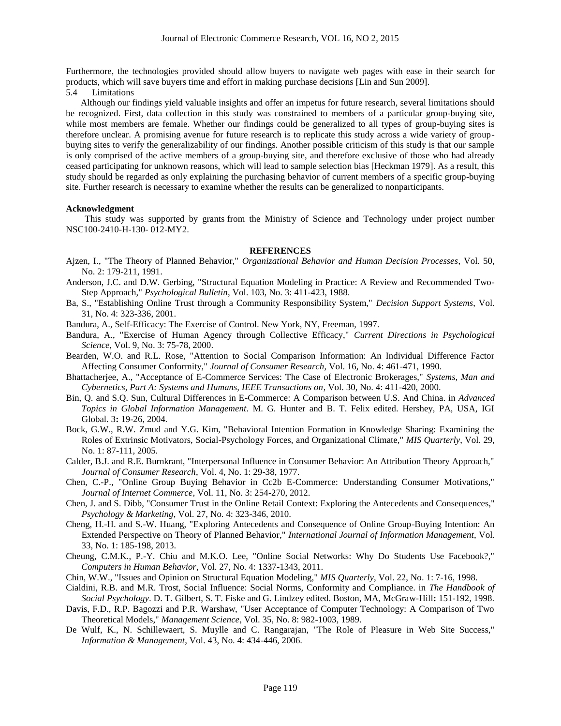Furthermore, the technologies provided should allow buyers to navigate web pages with ease in their search for products, which will save buyers time and effort in making purchase decisions [Lin and Sun 2009].

5.4 Limitations

Although our findings yield valuable insights and offer an impetus for future research, several limitations should be recognized. First, data collection in this study was constrained to members of a particular group-buying site, while most members are female. Whether our findings could be generalized to all types of group-buying sites is therefore unclear. A promising avenue for future research is to replicate this study across a wide variety of groupbuying sites to verify the generalizability of our findings. Another possible criticism of this study is that our sample is only comprised of the active members of a group-buying site, and therefore exclusive of those who had already ceased participating for unknown reasons, which will lead to sample selection bias [Heckman 1979]. As a result, this study should be regarded as only explaining the purchasing behavior of current members of a specific group-buying site. Further research is necessary to examine whether the results can be generalized to nonparticipants.

#### **Acknowledgment**

This study was supported by grants from the Ministry of Science and Technology under project number NSC100-2410-H-130- 012-MY2.

## **REFERENCES**

- Ajzen, I., "The Theory of Planned Behavior," *Organizational Behavior and Human Decision Processes*, Vol. 50, No. 2: 179-211, 1991.
- Anderson, J.C. and D.W. Gerbing, "Structural Equation Modeling in Practice: A Review and Recommended Two-Step Approach," *Psychological Bulletin*, Vol. 103, No. 3: 411-423, 1988.
- Ba, S., "Establishing Online Trust through a Community Responsibility System," *Decision Support Systems*, Vol. 31, No. 4: 323-336, 2001.
- Bandura, A., Self-Efficacy: The Exercise of Control. New York, NY, Freeman, 1997.
- Bandura, A., "Exercise of Human Agency through Collective Efficacy," *Current Directions in Psychological Science*, Vol. 9, No. 3: 75-78, 2000.
- Bearden, W.O. and R.L. Rose, "Attention to Social Comparison Information: An Individual Difference Factor Affecting Consumer Conformity," *Journal of Consumer Research*, Vol. 16, No. 4: 461-471, 1990.
- Bhattacherjee, A., "Acceptance of E-Commerce Services: The Case of Electronic Brokerages," *Systems, Man and Cybernetics, Part A: Systems and Humans, IEEE Transactions on*, Vol. 30, No. 4: 411-420, 2000.
- Bin, Q. and S.Q. Sun, Cultural Differences in E-Commerce: A Comparison between U.S. And China. in *Advanced Topics in Global Information Management*. M. G. Hunter and B. T. Felix edited. Hershey, PA, USA, IGI Global. 3**:** 19-26, 2004.
- Bock, G.W., R.W. Zmud and Y.G. Kim, "Behavioral Intention Formation in Knowledge Sharing: Examining the Roles of Extrinsic Motivators, Social-Psychology Forces, and Organizational Climate," *MIS Quarterly*, Vol. 29, No. 1: 87-111, 2005.
- Calder, B.J. and R.E. Burnkrant, "Interpersonal Influence in Consumer Behavior: An Attribution Theory Approach," *Journal of Consumer Research*, Vol. 4, No. 1: 29-38, 1977.
- Chen, C.-P., "Online Group Buying Behavior in Cc2b E-Commerce: Understanding Consumer Motivations," *Journal of Internet Commerce*, Vol. 11, No. 3: 254-270, 2012.
- Chen, J. and S. Dibb, "Consumer Trust in the Online Retail Context: Exploring the Antecedents and Consequences," *Psychology & Marketing*, Vol. 27, No. 4: 323-346, 2010.
- Cheng, H.-H. and S.-W. Huang, "Exploring Antecedents and Consequence of Online Group-Buying Intention: An Extended Perspective on Theory of Planned Behavior," *International Journal of Information Management*, Vol. 33, No. 1: 185-198, 2013.
- Cheung, C.M.K., P.-Y. Chiu and M.K.O. Lee, "Online Social Networks: Why Do Students Use Facebook?," *Computers in Human Behavior*, Vol. 27, No. 4: 1337-1343, 2011.
- Chin, W.W., "Issues and Opinion on Structural Equation Modeling," *MIS Quarterly*, Vol. 22, No. 1: 7-16, 1998.
- Cialdini, R.B. and M.R. Trost, Social Influence: Social Norms, Conformity and Compliance. in *The Handbook of Social Psychology*. D. T. Gilbert, S. T. Fiske and G. Lindzey edited. Boston, MA, McGraw-Hill**:** 151-192, 1998.
- Davis, F.D., R.P. Bagozzi and P.R. Warshaw, "User Acceptance of Computer Technology: A Comparison of Two Theoretical Models," *Management Science*, Vol. 35, No. 8: 982-1003, 1989.
- De Wulf, K., N. Schillewaert, S. Muylle and C. Rangarajan, "The Role of Pleasure in Web Site Success," *Information & Management*, Vol. 43, No. 4: 434-446, 2006.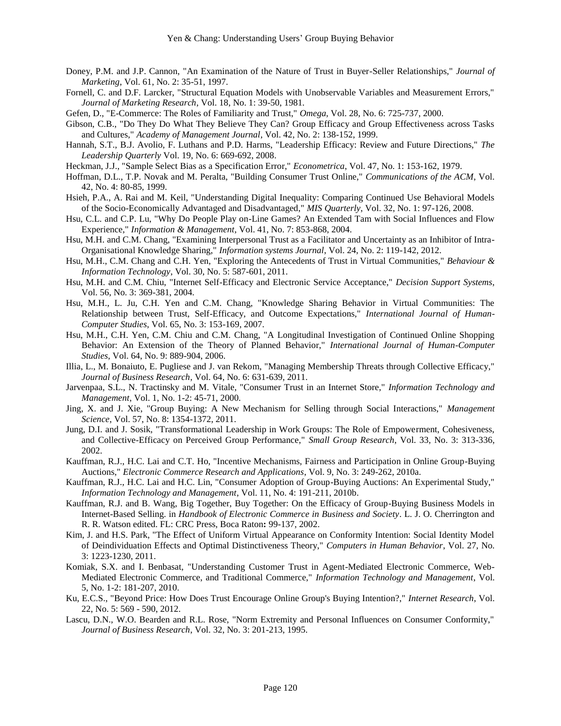- Doney, P.M. and J.P. Cannon, "An Examination of the Nature of Trust in Buyer-Seller Relationships," *Journal of Marketing*, Vol. 61, No. 2: 35-51, 1997.
- Fornell, C. and D.F. Larcker, "Structural Equation Models with Unobservable Variables and Measurement Errors," *Journal of Marketing Research*, Vol. 18, No. 1: 39-50, 1981.
- Gefen, D., "E-Commerce: The Roles of Familiarity and Trust," *Omega*, Vol. 28, No. 6: 725-737, 2000.
- Gibson, C.B., "Do They Do What They Believe They Can? Group Efficacy and Group Effectiveness across Tasks and Cultures," *Academy of Management Journal*, Vol. 42, No. 2: 138-152, 1999.
- Hannah, S.T., B.J. Avolio, F. Luthans and P.D. Harms, "Leadership Efficacy: Review and Future Directions," *The Leadership Quarterly* Vol. 19, No. 6: 669-692, 2008.
- Heckman, J.J., "Sample Select Bias as a Specification Error," *Econometrica*, Vol. 47, No. 1: 153-162, 1979.
- Hoffman, D.L., T.P. Novak and M. Peralta, "Building Consumer Trust Online," *Communications of the ACM*, Vol. 42, No. 4: 80-85, 1999.
- Hsieh, P.A., A. Rai and M. Keil, "Understanding Digital Inequality: Comparing Continued Use Behavioral Models of the Socio-Economically Advantaged and Disadvantaged," *MIS Quarterly*, Vol. 32, No. 1: 97-126, 2008.
- Hsu, C.L. and C.P. Lu, "Why Do People Play on-Line Games? An Extended Tam with Social Influences and Flow Experience," *Information & Management*, Vol. 41, No. 7: 853-868, 2004.
- Hsu, M.H. and C.M. Chang, "Examining Interpersonal Trust as a Facilitator and Uncertainty as an Inhibitor of Intra-Organisational Knowledge Sharing," *Information systems Journal*, Vol. 24, No. 2: 119-142, 2012.
- Hsu, M.H., C.M. Chang and C.H. Yen, "Exploring the Antecedents of Trust in Virtual Communities," *Behaviour & Information Technology*, Vol. 30, No. 5: 587-601, 2011.
- Hsu, M.H. and C.M. Chiu, "Internet Self-Efficacy and Electronic Service Acceptance," *Decision Support Systems*, Vol. 56, No. 3: 369-381, 2004.
- Hsu, M.H., L. Ju, C.H. Yen and C.M. Chang, "Knowledge Sharing Behavior in Virtual Communities: The Relationship between Trust, Self-Efficacy, and Outcome Expectations," *International Journal of Human-Computer Studies*, Vol. 65, No. 3: 153-169, 2007.
- Hsu, M.H., C.H. Yen, C.M. Chiu and C.M. Chang, "A Longitudinal Investigation of Continued Online Shopping Behavior: An Extension of the Theory of Planned Behavior," *International Journal of Human-Computer Studies*, Vol. 64, No. 9: 889-904, 2006.
- Illia, L., M. Bonaiuto, E. Pugliese and J. van Rekom, "Managing Membership Threats through Collective Efficacy," *Journal of Business Research*, Vol. 64, No. 6: 631-639, 2011.
- Jarvenpaa, S.L., N. Tractinsky and M. Vitale, "Consumer Trust in an Internet Store," *Information Technology and Management*, Vol. 1, No. 1-2: 45-71, 2000.
- Jing, X. and J. Xie, "Group Buying: A New Mechanism for Selling through Social Interactions," *Management Science*, Vol. 57, No. 8: 1354-1372, 2011.
- Jung, D.I. and J. Sosik, "Transformational Leadership in Work Groups: The Role of Empowerment, Cohesiveness, and Collective-Efficacy on Perceived Group Performance," *Small Group Research*, Vol. 33, No. 3: 313-336, 2002.
- Kauffman, R.J., H.C. Lai and C.T. Ho, "Incentive Mechanisms, Fairness and Participation in Online Group-Buying Auctions," *Electronic Commerce Research and Applications*, Vol. 9, No. 3: 249-262, 2010a.
- Kauffman, R.J., H.C. Lai and H.C. Lin, "Consumer Adoption of Group-Buying Auctions: An Experimental Study," *Information Technology and Management*, Vol. 11, No. 4: 191-211, 2010b.
- Kauffman, R.J. and B. Wang, Big Together, Buy Together: On the Efficacy of Group-Buying Business Models in Internet-Based Selling. in *Handbook of Electronic Commerce in Business and Society*. L. J. O. Cherrington and R. R. Watson edited. FL: CRC Press, Boca Raton**:** 99-137, 2002.
- Kim, J. and H.S. Park, "The Effect of Uniform Virtual Appearance on Conformity Intention: Social Identity Model of Deindividuation Effects and Optimal Distinctiveness Theory," *Computers in Human Behavior*, Vol. 27, No. 3: 1223-1230, 2011.
- Komiak, S.X. and I. Benbasat, "Understanding Customer Trust in Agent-Mediated Electronic Commerce, Web-Mediated Electronic Commerce, and Traditional Commerce," *Information Technology and Management*, Vol. 5, No. 1-2: 181-207, 2010.
- Ku, E.C.S., "Beyond Price: How Does Trust Encourage Online Group's Buying Intention?," *Internet Research*, Vol. 22, No. 5: 569 - 590, 2012.
- Lascu, D.N., W.O. Bearden and R.L. Rose, "Norm Extremity and Personal Influences on Consumer Conformity," *Journal of Business Research*, Vol. 32, No. 3: 201-213, 1995.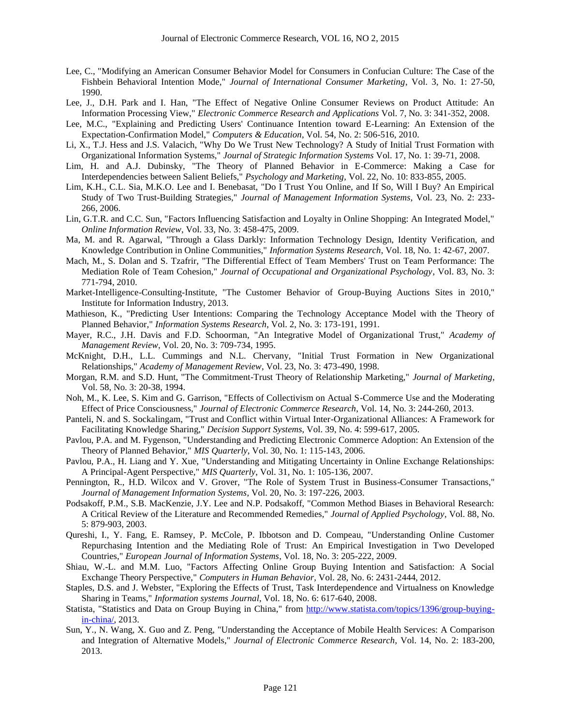- Lee, C., "Modifying an American Consumer Behavior Model for Consumers in Confucian Culture: The Case of the Fishbein Behavioral Intention Mode," *Journal of International Consumer Marketing*, Vol. 3, No. 1: 27-50, 1990.
- Lee, J., D.H. Park and I. Han, "The Effect of Negative Online Consumer Reviews on Product Attitude: An Information Processing View," *Electronic Commerce Research and Applications* Vol. 7, No. 3: 341-352, 2008.
- Lee, M.C., "Explaining and Predicting Users' Continuance Intention toward E-Learning: An Extension of the Expectation-Confirmation Model," *Computers & Education*, Vol. 54, No. 2: 506-516, 2010.
- Li, X., T.J. Hess and J.S. Valacich, "Why Do We Trust New Technology? A Study of Initial Trust Formation with Organizational Information Systems," *Journal of Strategic Information Systems* Vol. 17, No. 1: 39-71, 2008.
- Lim, H. and A.J. Dubinsky, "The Theory of Planned Behavior in E-Commerce: Making a Case for Interdependencies between Salient Beliefs," *Psychology and Marketing*, Vol. 22, No. 10: 833-855, 2005.
- Lim, K.H., C.L. Sia, M.K.O. Lee and I. Benebasat, "Do I Trust You Online, and If So, Will I Buy? An Empirical Study of Two Trust-Building Strategies," *Journal of Management Information Systems*, Vol. 23, No. 2: 233- 266, 2006.
- Lin, G.T.R. and C.C. Sun, "Factors Influencing Satisfaction and Loyalty in Online Shopping: An Integrated Model," *Online Information Review*, Vol. 33, No. 3: 458-475, 2009.
- Ma, M. and R. Agarwal, "Through a Glass Darkly: Information Technology Design, Identity Verification, and Knowledge Contribution in Online Communities," *Information Systems Research*, Vol. 18, No. 1: 42-67, 2007.
- Mach, M., S. Dolan and S. Tzafrir, "The Differential Effect of Team Members' Trust on Team Performance: The Mediation Role of Team Cohesion," *Journal of Occupational and Organizational Psychology*, Vol. 83, No. 3: 771-794, 2010.
- Market-Intelligence-Consulting-Institute, "The Customer Behavior of Group-Buying Auctions Sites in 2010," Institute for Information Industry, 2013.
- Mathieson, K., "Predicting User Intentions: Comparing the Technology Acceptance Model with the Theory of Planned Behavior," *Information Systems Research*, Vol. 2, No. 3: 173-191, 1991.
- Mayer, R.C., J.H. Davis and F.D. Schoorman, "An Integrative Model of Organizational Trust," *Academy of Management Review*, Vol. 20, No. 3: 709-734, 1995.
- McKnight, D.H., L.L. Cummings and N.L. Chervany, "Initial Trust Formation in New Organizational Relationships," *Academy of Management Review*, Vol. 23, No. 3: 473-490, 1998.
- Morgan, R.M. and S.D. Hunt, "The Commitment-Trust Theory of Relationship Marketing," *Journal of Marketing*, Vol. 58, No. 3: 20-38, 1994.
- Noh, M., K. Lee, S. Kim and G. Garrison, "Effects of Collectivism on Actual S-Commerce Use and the Moderating Effect of Price Consciousness," *Journal of Electronic Commerce Research*, Vol. 14, No. 3: 244-260, 2013.
- Panteli, N. and S. Sockalingam, "Trust and Conflict within Virtual Inter-Organizational Alliances: A Framework for Facilitating Knowledge Sharing," *Decision Support Systems*, Vol. 39, No. 4: 599-617, 2005.
- Pavlou, P.A. and M. Fygenson, "Understanding and Predicting Electronic Commerce Adoption: An Extension of the Theory of Planned Behavior," *MIS Quarterly*, Vol. 30, No. 1: 115-143, 2006.
- Pavlou, P.A., H. Liang and Y. Xue, "Understanding and Mitigating Uncertainty in Online Exchange Relationships: A Principal-Agent Perspective," *MIS Quarterly*, Vol. 31, No. 1: 105-136, 2007.
- Pennington, R., H.D. Wilcox and V. Grover, "The Role of System Trust in Business-Consumer Transactions," *Journal of Management Information Systems*, Vol. 20, No. 3: 197-226, 2003.
- Podsakoff, P.M., S.B. MacKenzie, J.Y. Lee and N.P. Podsakoff, "Common Method Biases in Behavioral Research: A Critical Review of the Literature and Recommended Remedies," *Journal of Applied Psychology*, Vol. 88, No. 5: 879-903, 2003.
- Qureshi, I., Y. Fang, E. Ramsey, P. McCole, P. Ibbotson and D. Compeau, "Understanding Online Customer Repurchasing Intention and the Mediating Role of Trust: An Empirical Investigation in Two Developed Countries," *European Journal of Information Systems*, Vol. 18, No. 3: 205-222, 2009.
- Shiau, W.-L. and M.M. Luo, "Factors Affecting Online Group Buying Intention and Satisfaction: A Social Exchange Theory Perspective," *Computers in Human Behavior*, Vol. 28, No. 6: 2431-2444, 2012.
- Staples, D.S. and J. Webster, "Exploring the Effects of Trust, Task Interdependence and Virtualness on Knowledge Sharing in Teams," *Information systems Journal*, Vol. 18, No. 6: 617-640, 2008.
- Statista, "Statistics and Data on Group Buying in China," from [http://www.statista.com/topics/1396/group-buying](http://www.statista.com/topics/1396/group-buying-in-china/)[in-china/,](http://www.statista.com/topics/1396/group-buying-in-china/) 2013.
- Sun, Y., N. Wang, X. Guo and Z. Peng, "Understanding the Acceptance of Mobile Health Services: A Comparison and Integration of Alternative Models," *Journal of Electronic Commerce Research*, Vol. 14, No. 2: 183-200, 2013.